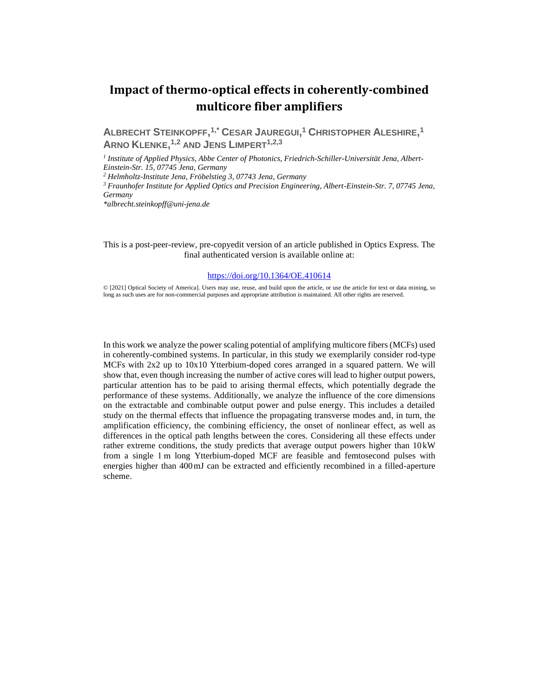# **Impact of thermo-optical effects in coherently-combined multicore fiber amplifiers**

**ALBRECHT STEINKOPFF, 1,\* CESAR JAUREGUI, <sup>1</sup> CHRISTOPHER ALESHIRE, 1 ARNO KLENKE, 1,2 AND JENS LIMPERT1,2,3**

*1 Institute of Applied Physics, Abbe Center of Photonics, Friedrich-Schiller-Universität Jena, Albert-Einstein-Str. 15, 07745 Jena, Germany*

*<sup>2</sup> Helmholtz-Institute Jena, Fröbelstieg 3, 07743 Jena, Germany* 

*<sup>3</sup> Fraunhofer Institute for Applied Optics and Precision Engineering, Albert-Einstein-Str. 7, 07745 Jena, Germany*

*\*albrecht.steinkopff@uni-jena.de*

This is a post-peer-review, pre-copyedit version of an article published in Optics Express. The final authenticated version is available online at:

#### <https://doi.org/10.1364/OE.410614>

© [2021] Optical Society of America]. Users may use, reuse, and build upon the article, or use the article for text or data mining, so long as such uses are for non-commercial purposes and appropriate attribution is maintained. All other rights are reserved.

In this work we analyze the power scaling potential of amplifying multicore fibers (MCFs) used in coherently-combined systems. In particular, in this study we exemplarily consider rod-type MCFs with 2x2 up to 10x10 Ytterbium-doped cores arranged in a squared pattern. We will show that, even though increasing the number of active cores will lead to higher output powers, particular attention has to be paid to arising thermal effects, which potentially degrade the performance of these systems. Additionally, we analyze the influence of the core dimensions on the extractable and combinable output power and pulse energy. This includes a detailed study on the thermal effects that influence the propagating transverse modes and, in turn, the amplification efficiency, the combining efficiency, the onset of nonlinear effect, as well as differences in the optical path lengths between the cores. Considering all these effects under rather extreme conditions, the study predicts that average output powers higher than  $10 \text{kW}$ from a single 1 m long Ytterbium-doped MCF are feasible and femtosecond pulses with energies higher than 400mJ can be extracted and efficiently recombined in a filled-aperture scheme.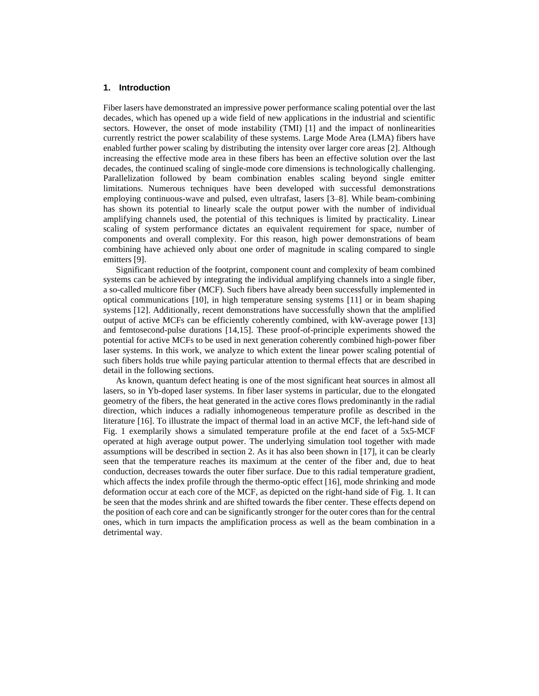# **1. Introduction**

Fiber lasers have demonstrated an impressive power performance scaling potential over the last decades, which has opened up a wide field of new applications in the industrial and scientific sectors. However, the onset of mode instability (TMI) [1] and the impact of nonlinearities currently restrict the power scalability of these systems. Large Mode Area (LMA) fibers have enabled further power scaling by distributing the intensity over larger core areas [2]. Although increasing the effective mode area in these fibers has been an effective solution over the last decades, the continued scaling of single-mode core dimensions is technologically challenging. Parallelization followed by beam combination enables scaling beyond single emitter limitations. Numerous techniques have been developed with successful demonstrations employing continuous-wave and pulsed, even ultrafast, lasers [3–8]. While beam-combining has shown its potential to linearly scale the output power with the number of individual amplifying channels used, the potential of this techniques is limited by practicality. Linear scaling of system performance dictates an equivalent requirement for space, number of components and overall complexity. For this reason, high power demonstrations of beam combining have achieved only about one order of magnitude in scaling compared to single emitters [9].

Significant reduction of the footprint, component count and complexity of beam combined systems can be achieved by integrating the individual amplifying channels into a single fiber, a so-called multicore fiber (MCF). Such fibers have already been successfully implemented in optical communications [10], in high temperature sensing systems [11] or in beam shaping systems [12]. Additionally, recent demonstrations have successfully shown that the amplified output of active MCFs can be efficiently coherently combined, with kW-average power [13] and femtosecond-pulse durations [14,15]. These proof-of-principle experiments showed the potential for active MCFs to be used in next generation coherently combined high-power fiber laser systems. In this work, we analyze to which extent the linear power scaling potential of such fibers holds true while paying particular attention to thermal effects that are described in detail in the following sections.

As known, quantum defect heating is one of the most significant heat sources in almost all lasers, so in Yb-doped laser systems. In fiber laser systems in particular, due to the elongated geometry of the fibers, the heat generated in the active cores flows predominantly in the radial direction, which induces a radially inhomogeneous temperature profile as described in the literature [16]. To illustrate the impact of thermal load in an active MCF, the left-hand side of [Fig. 1](#page-2-0) exemplarily shows a simulated temperature profile at the end facet of a 5x5-MCF operated at high average output power. The underlying simulation tool together with made assumptions will be described in section 2. As it has also been shown in [17], it can be clearly seen that the temperature reaches its maximum at the center of the fiber and, due to heat conduction, decreases towards the outer fiber surface. Due to this radial temperature gradient, which affects the index profile through the thermo-optic effect [16], mode shrinking and mode deformation occur at each core of the MCF, as depicted on the right-hand side of [Fig. 1.](#page-2-0) It can be seen that the modes shrink and are shifted towards the fiber center. These effects depend on the position of each core and can be significantly stronger for the outer cores than for the central ones, which in turn impacts the amplification process as well as the beam combination in a detrimental way.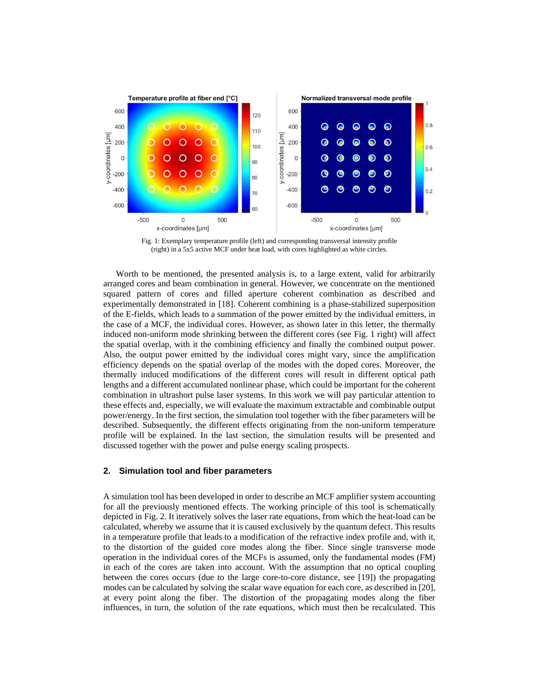

Fig. 1: Exemplary temperature profile (left) and corresponding transversal intensity profile (right) in a 5x5 active MCF under heat load, with cores highlighted as white circles.

<span id="page-2-0"></span>Worth to be mentioned, the presented analysis is, to a large extent, valid for arbitrarily arranged cores and beam combination in general. However, we concentrate on the mentioned squared pattern of cores and filled aperture coherent combination as described and experimentally demonstrated in [18]. Coherent combining is a phase-stabilized superposition of the E-fields, which leads to a summation of the power emitted by the individual emitters, in the case of a MCF, the individual cores. However, as shown later in this letter, the thermally induced non-uniform mode shrinking between the different cores (see [Fig. 1](#page-2-0) right) will affect the spatial overlap, with it the combining efficiency and finally the combined output power. Also, the output power emitted by the individual cores might vary, since the amplification efficiency depends on the spatial overlap of the modes with the doped cores. Moreover, the thermally induced modifications of the different cores will result in different optical path lengths and a different accumulated nonlinear phase, which could be important for the coherent combination in ultrashort pulse laser systems. In this work we will pay particular attention to these effects and, especially, we will evaluate the maximum extractable and combinable output power/energy. In the first section, the simulation tool together with the fiber parameters will be described. Subsequently, the different effects originating from the non-uniform temperature profile will be explained. In the last section, the simulation results will be presented and discussed together with the power and pulse energy scaling prospects.

### **2. Simulation tool and fiber parameters**

A simulation tool has been developed in order to describe an MCF amplifier system accounting for all the previously mentioned effects. The working principle of this tool is schematically depicted in [Fig. 2.](#page-3-0) It iteratively solves the laser rate equations, from which the heat-load can be calculated, whereby we assume that it is caused exclusively by the quantum defect. This results in a temperature profile that leads to a modification of the refractive index profile and, with it, to the distortion of the guided core modes along the fiber. Since single transverse mode operation in the individual cores of the MCFs is assumed, only the fundamental modes (FM) in each of the cores are taken into account. With the assumption that no optical coupling between the cores occurs (due to the large core-to-core distance, see [19]) the propagating modes can be calculated by solving the scalar wave equation for each core, as described in [20], at every point along the fiber. The distortion of the propagating modes along the fiber influences, in turn, the solution of the rate equations, which must then be recalculated. This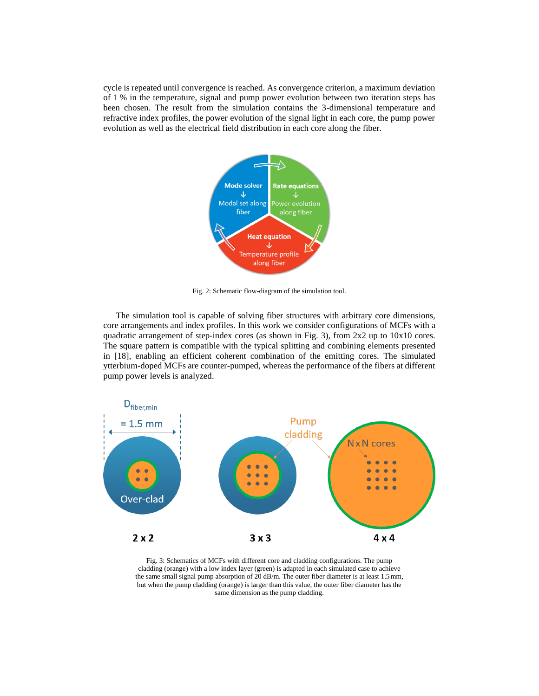cycle is repeated until convergence is reached. As convergence criterion, a maximum deviation of 1 % in the temperature, signal and pump power evolution between two iteration steps has been chosen. The result from the simulation contains the 3-dimensional temperature and refractive index profiles, the power evolution of the signal light in each core, the pump power evolution as well as the electrical field distribution in each core along the fiber.



Fig. 2: Schematic flow-diagram of the simulation tool.

<span id="page-3-0"></span>The simulation tool is capable of solving fiber structures with arbitrary core dimensions, core arrangements and index profiles. In this work we consider configurations of MCFs with a quadratic arrangement of step-index cores (as shown in [Fig. 3\)](#page-3-1), from 2x2 up to 10x10 cores. The square pattern is compatible with the typical splitting and combining elements presented in [18], enabling an efficient coherent combination of the emitting cores. The simulated ytterbium-doped MCFs are counter-pumped, whereas the performance of the fibers at different pump power levels is analyzed.



<span id="page-3-1"></span>Fig. 3: Schematics of MCFs with different core and cladding configurations. The pump cladding (orange) with a low index layer (green) is adapted in each simulated case to achieve the same small signal pump absorption of 20 dB/m. The outer fiber diameter is at least 1.5mm, but when the pump cladding (orange) is larger than this value, the outer fiber diameter has the same dimension as the pump cladding.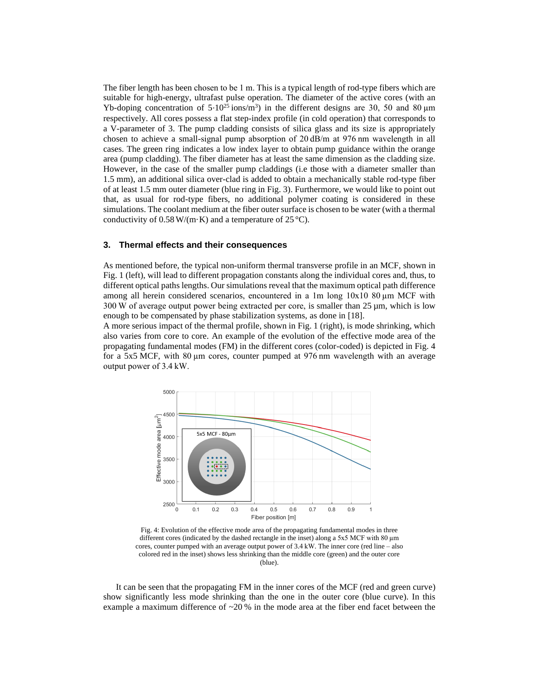The fiber length has been chosen to be 1 m. This is a typical length of rod-type fibers which are suitable for high-energy, ultrafast pulse operation. The diameter of the active cores (with an Yb-doping concentration of  $5 \cdot 10^{25}$  ions/m<sup>3</sup>) in the different designs are 30, 50 and 80 μm respectively. All cores possess a flat step-index profile (in cold operation) that corresponds to a V-parameter of 3. The pump cladding consists of silica glass and its size is appropriately chosen to achieve a small-signal pump absorption of 20 dB/m at 976 nm wavelength in all cases. The green ring indicates a low index layer to obtain pump guidance within the orange area (pump cladding). The fiber diameter has at least the same dimension as the cladding size. However, in the case of the smaller pump claddings (i.e those with a diameter smaller than 1.5 mm), an additional silica over-clad is added to obtain a mechanically stable rod-type fiber of at least 1.5 mm outer diameter (blue ring i[n Fig. 3\)](#page-3-1). Furthermore, we would like to point out that, as usual for rod-type fibers, no additional polymer coating is considered in these simulations. The coolant medium at the fiber outer surface is chosen to be water (with a thermal conductivity of  $0.58 \text{ W/(m·K)}$  and a temperature of  $25 \text{ }^{\circ}\text{C}$ .

#### **3. Thermal effects and their consequences**

As mentioned before, the typical non-uniform thermal transverse profile in an MCF, shown in [Fig. 1](#page-2-0) (left), will lead to different propagation constants along the individual cores and, thus, to different optical paths lengths. Our simulations reveal that the maximum optical path difference among all herein considered scenarios, encountered in a 1m long 10x10 80 µm MCF with 300 W of average output power being extracted per core, is smaller than 25 µm, which is low enough to be compensated by phase stabilization systems, as done in [18].

A more serious impact of the thermal profile, shown in [Fig. 1](#page-2-0) (right), is mode shrinking, which also varies from core to core. An example of the evolution of the effective mode area of the propagating fundamental modes (FM) in the different cores (color-coded) is depicted in [Fig. 4](#page-4-0) for a 5x5 MCF, with 80 µm cores, counter pumped at 976 nm wavelength with an average output power of 3.4 kW.



<span id="page-4-0"></span>Fig. 4: Evolution of the effective mode area of the propagating fundamental modes in three different cores (indicated by the dashed rectangle in the inset) along a 5x5 MCF with 80 µm cores, counter pumped with an average output power of 3.4 kW. The inner core (red line – also colored red in the inset) shows less shrinking than the middle core (green) and the outer core (blue).

It can be seen that the propagating FM in the inner cores of the MCF (red and green curve) show significantly less mode shrinking than the one in the outer core (blue curve). In this example a maximum difference of  $\sim$ 20% in the mode area at the fiber end facet between the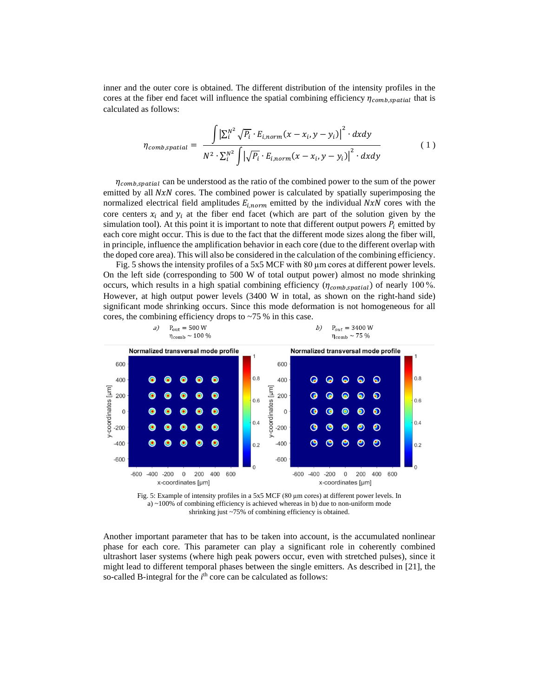inner and the outer core is obtained. The different distribution of the intensity profiles in the cores at the fiber end facet will influence the spatial combining efficiency  $\eta_{comb, spatial}$  that is calculated as follows:

$$
\eta_{comb,spatial} = \frac{\int \left| \sum_{i}^{N^{2}} \sqrt{P_{i}} \cdot E_{i,norm}(x - x_{i}, y - y_{i}) \right|^{2} \cdot dxdy}{N^{2} \cdot \sum_{i}^{N^{2}} \int \left| \sqrt{P_{i}} \cdot E_{i,norm}(x - x_{i}, y - y_{i}) \right|^{2} \cdot dxdy}
$$
(1)

 $\eta_{comb, spatial}$  can be understood as the ratio of the combined power to the sum of the power emitted by all  $NxN$  cores. The combined power is calculated by spatially superimposing the normalized electrical field amplitudes  $E_{i,norm}$  emitted by the individual  $NxN$  cores with the core centers  $x_i$  and  $y_i$  at the fiber end facet (which are part of the solution given by the simulation tool). At this point it is important to note that different output powers  $P_i$  emitted by each core might occur. This is due to the fact that the different mode sizes along the fiber will, in principle, influence the amplification behavior in each core (due to the different overlap with the doped core area). This will also be considered in the calculation of the combining efficiency.

[Fig. 5](#page-5-0) shows the intensity profiles of a 5x5 MCF with 80  $\mu$ m cores at different power levels. On the left side (corresponding to 500 W of total output power) almost no mode shrinking occurs, which results in a high spatial combining efficiency  $(\eta_{comb, spatial})$  of nearly 100%. However, at high output power levels (3400 W in total, as shown on the right-hand side) significant mode shrinking occurs. Since this mode deformation is not homogeneous for all cores, the combining efficiency drops to ~75 % in this case.



<span id="page-5-0"></span>Fig. 5: Example of intensity profiles in a 5x5 MCF (80 µm cores) at different power levels. In a)  $\approx$  100% of combining efficiency is achieved whereas in b) due to non-uniform mode shrinking just ~75% of combining efficiency is obtained.

Another important parameter that has to be taken into account, is the accumulated nonlinear phase for each core. This parameter can play a significant role in coherently combined ultrashort laser systems (where high peak powers occur, even with stretched pulses), since it might lead to different temporal phases between the single emitters. As described in [21], the so-called B-integral for the *i*<sup>th</sup> core can be calculated as follows: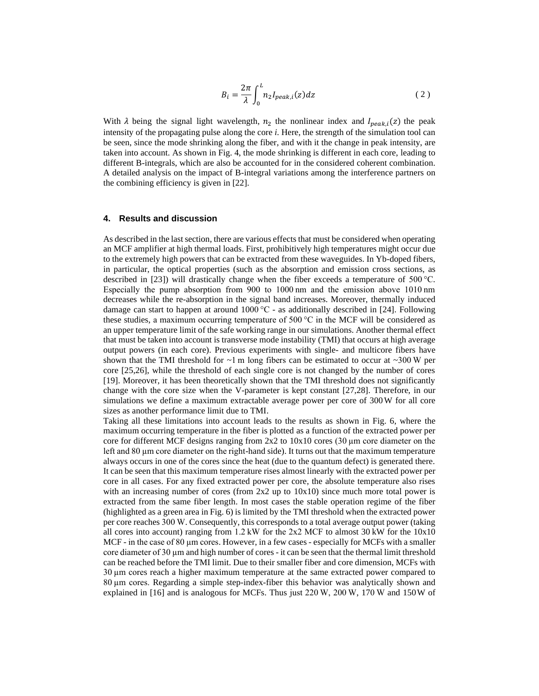$$
B_i = \frac{2\pi}{\lambda} \int_0^L n_2 I_{peak,i}(z) dz
$$
 (2)

With  $\lambda$  being the signal light wavelength,  $n_2$  the nonlinear index and  $I_{peak,i}(z)$  the peak intensity of the propagating pulse along the core *i*. Here, the strength of the simulation tool can be seen, since the mode shrinking along the fiber, and with it the change in peak intensity, are taken into account. As shown in [Fig. 4,](#page-4-0) the mode shrinking is different in each core, leading to different B-integrals, which are also be accounted for in the considered coherent combination. A detailed analysis on the impact of B-integral variations among the interference partners on the combining efficiency is given in [22].

# **4. Results and discussion**

As described in the last section, there are various effects that must be considered when operating an MCF amplifier at high thermal loads. First, prohibitively high temperatures might occur due to the extremely high powers that can be extracted from these waveguides. In Yb-doped fibers, in particular, the optical properties (such as the absorption and emission cross sections, as described in [23]) will drastically change when the fiber exceeds a temperature of 500 °C. Especially the pump absorption from 900 to 1000 nm and the emission above 1010 nm decreases while the re-absorption in the signal band increases. Moreover, thermally induced damage can start to happen at around 1000 °C - as additionally described in [24]. Following these studies, a maximum occurring temperature of 500 °C in the MCF will be considered as an upper temperature limit of the safe working range in our simulations. Another thermal effect that must be taken into account is transverse mode instability (TMI) that occurs at high average output powers (in each core). Previous experiments with single- and multicore fibers have shown that the TMI threshold for  $\sim$ 1 m long fibers can be estimated to occur at  $\sim$ 300 W per core [25,26], while the threshold of each single core is not changed by the number of cores [19]. Moreover, it has been theoretically shown that the TMI threshold does not significantly change with the core size when the V-parameter is kept constant [27,28]. Therefore, in our simulations we define a maximum extractable average power per core of 300W for all core sizes as another performance limit due to TMI.

Taking all these limitations into account leads to the results as shown in [Fig. 6,](#page-7-0) where the maximum occurring temperature in the fiber is plotted as a function of the extracted power per core for different MCF designs ranging from  $2x2$  to  $10x10$  cores (30 µm core diameter on the left and 80 µm core diameter on the right-hand side). It turns out that the maximum temperature always occurs in one of the cores since the heat (due to the quantum defect) is generated there. It can be seen that this maximum temperature rises almost linearly with the extracted power per core in all cases. For any fixed extracted power per core, the absolute temperature also rises with an increasing number of cores (from  $2x2$  up to  $10x10$ ) since much more total power is extracted from the same fiber length. In most cases the stable operation regime of the fiber (highlighted as a green area in [Fig. 6\)](#page-7-0) is limited by the TMI threshold when the extracted power per core reaches 300 W. Consequently, this corresponds to a total average output power (taking all cores into account) ranging from 1.2 kW for the 2x2 MCF to almost 30 kW for the 10x10 MCF - in the case of 80 µm cores. However, in a few cases - especially for MCFs with a smaller core diameter of 30  $\mu$ m and high number of cores - it can be seen that the thermal limit threshold can be reached before the TMI limit. Due to their smaller fiber and core dimension, MCFs with 30 µm cores reach a higher maximum temperature at the same extracted power compared to 80 µm cores. Regarding a simple step-index-fiber this behavior was analytically shown and explained in [16] and is analogous for MCFs. Thus just 220 W, 200 W, 170 W and 150W of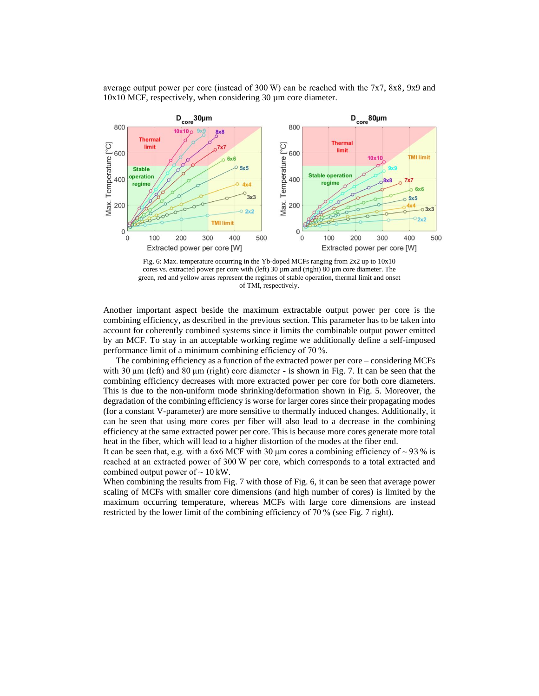average output power per core (instead of 300 W) can be reached with the 7x7, 8x8, 9x9 and 10x10 MCF, respectively, when considering 30 µm core diameter.



<span id="page-7-0"></span>

Another important aspect beside the maximum extractable output power per core is the combining efficiency, as described in the previous section. This parameter has to be taken into account for coherently combined systems since it limits the combinable output power emitted by an MCF. To stay in an acceptable working regime we additionally define a self-imposed performance limit of a minimum combining efficiency of 70 %.

The combining efficiency as a function of the extracted power per core – considering MCFs with 30 µm (left) and 80 µm (right) core diameter - is shown in [Fig. 7.](#page-8-0) It can be seen that the combining efficiency decreases with more extracted power per core for both core diameters. This is due to the non-uniform mode shrinking/deformation shown in [Fig. 5.](#page-5-0) Moreover, the degradation of the combining efficiency is worse for larger cores since their propagating modes (for a constant V-parameter) are more sensitive to thermally induced changes. Additionally, it can be seen that using more cores per fiber will also lead to a decrease in the combining efficiency at the same extracted power per core. This is because more cores generate more total heat in the fiber, which will lead to a higher distortion of the modes at the fiber end.

It can be seen that, e.g. with a 6x6 MCF with 30  $\mu$ m cores a combining efficiency of ~93 % is reached at an extracted power of 300 W per core, which corresponds to a total extracted and combined output power of  $\sim$  10 kW.

When combining the results from [Fig. 7](#page-8-0) with those of [Fig. 6,](#page-7-0) it can be seen that average power scaling of MCFs with smaller core dimensions (and high number of cores) is limited by the maximum occurring temperature, whereas MCFs with large core dimensions are instead restricted by the lower limit of the combining efficiency of 70 % (se[e Fig. 7](#page-8-0) right).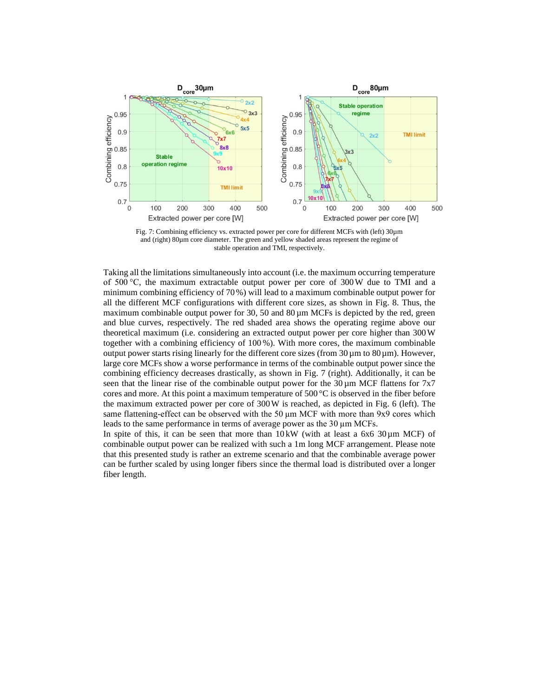

<span id="page-8-0"></span>

Taking all the limitations simultaneously into account (i.e. the maximum occurring temperature of 500 °C, the maximum extractable output power per core of 300W due to TMI and a minimum combining efficiency of 70%) will lead to a maximum combinable output power for all the different MCF configurations with different core sizes, as shown in [Fig. 8.](#page-9-0) Thus, the maximum combinable output power for 30, 50 and  $80 \mu m$  MCFs is depicted by the red, green and blue curves, respectively. The red shaded area shows the operating regime above our theoretical maximum (i.e. considering an extracted output power per core higher than 300W together with a combining efficiency of 100 %). With more cores, the maximum combinable output power starts rising linearly for the different core sizes (from  $30 \mu m$  to  $80 \mu m$ ). However, large core MCFs show a worse performance in terms of the combinable output power since the combining efficiency decreases drastically, as shown in [Fig. 7](#page-8-0) (right). Additionally, it can be seen that the linear rise of the combinable output power for the  $30 \mu m$  MCF flattens for  $7x7$ cores and more. At this point a maximum temperature of 500  $\degree$ C is observed in the fiber before the maximum extracted power per core of 300W is reached, as depicted in [Fig. 6](#page-7-0) (left). The same flattening-effect can be observed with the 50  $\mu$ m MCF with more than 9x9 cores which leads to the same performance in terms of average power as the 30 µm MCFs.

In spite of this, it can be seen that more than  $10 \text{kW}$  (with at least a  $6x6\frac{30 \mu \text{m}}{10 \text{m}}$  MCF) of combinable output power can be realized with such a 1m long MCF arrangement. Please note that this presented study is rather an extreme scenario and that the combinable average power can be further scaled by using longer fibers since the thermal load is distributed over a longer fiber length.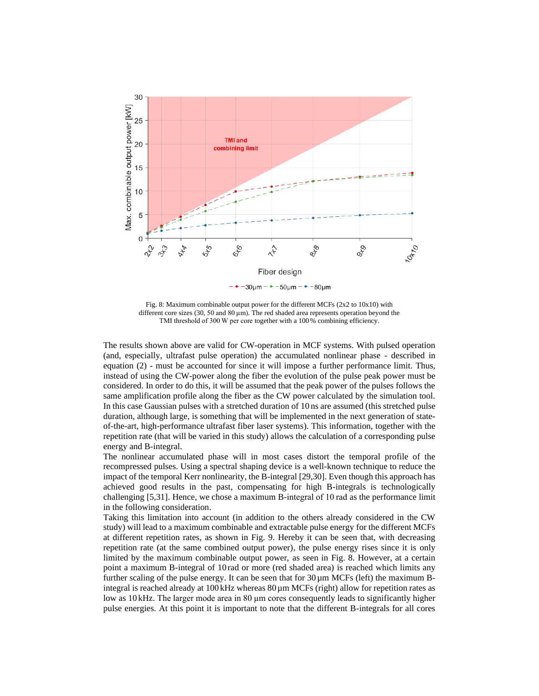

<span id="page-9-0"></span>Fig. 8: Maximum combinable output power for the different MCFs (2x2 to 10x10) with different core sizes (30, 50 and 80 µm). The red shaded area represents operation beyond the TMI threshold of 300 W per core together with a 100% combining efficiency.

The results shown above are valid for CW-operation in MCF systems. With pulsed operation (and, especially, ultrafast pulse operation) the accumulated nonlinear phase - described in equation (2) - must be accounted for since it will impose a further performance limit. Thus, instead of using the CW-power along the fiber the evolution of the pulse peak power must be considered. In order to do this, it will be assumed that the peak power of the pulses follows the same amplification profile along the fiber as the CW power calculated by the simulation tool. In this case Gaussian pulses with a stretched duration of 10 ns are assumed (this stretched pulse duration, although large, is something that will be implemented in the next generation of stateof-the-art, high-performance ultrafast fiber laser systems). This information, together with the repetition rate (that will be varied in this study) allows the calculation of a corresponding pulse energy and B-integral.

The nonlinear accumulated phase will in most cases distort the temporal profile of the recompressed pulses. Using a spectral shaping device is a well-known technique to reduce the impact of the temporal Kerr nonlinearity, the B-integral [29,30]. Even though this approach has achieved good results in the past, compensating for high B-integrals is technologically challenging [5,31]. Hence, we chose a maximum B-integral of 10 rad as the performance limit in the following consideration.

Taking this limitation into account (in addition to the others already considered in the CW study) will lead to a maximum combinable and extractable pulse energy for the different MCFs at different repetition rates, as shown in [Fig. 9.](#page-10-0) Hereby it can be seen that, with decreasing repetition rate (at the same combined output power), the pulse energy rises since it is only limited by the maximum combinable output power, as seen in [Fig. 8.](#page-9-0) However, at a certain point a maximum B-integral of 10 rad or more (red shaded area) is reached which limits any further scaling of the pulse energy. It can be seen that for  $30\mu$ m MCFs (left) the maximum Bintegral is reached already at  $100 \text{ kHz}$  whereas  $80 \mu \text{m}$  MCFs (right) allow for repetition rates as low as 10 kHz. The larger mode area in 80 µm cores consequently leads to significantly higher pulse energies. At this point it is important to note that the different B-integrals for all cores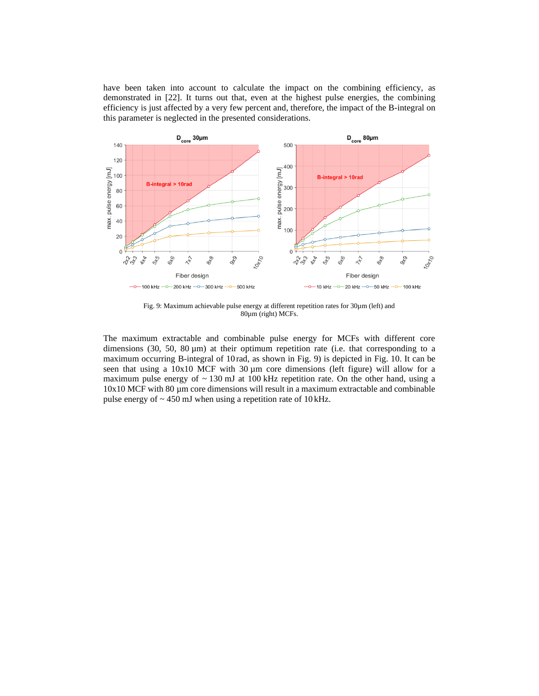have been taken into account to calculate the impact on the combining efficiency, as demonstrated in [22]. It turns out that, even at the highest pulse energies, the combining efficiency is just affected by a very few percent and, therefore, the impact of the B-integral on this parameter is neglected in the presented considerations.



Fig. 9: Maximum achievable pulse energy at different repetition rates for 30µm (left) and 80µm (right) MCFs.

<span id="page-10-0"></span>The maximum extractable and combinable pulse energy for MCFs with different core dimensions (30, 50, 80  $\mu$ m) at their optimum repetition rate (i.e. that corresponding to a maximum occurring B-integral of 10 rad, as shown in [Fig. 9\)](#page-10-0) is depicted in [Fig. 10.](#page-11-0) It can be seen that using a  $10x10$  MCF with  $30 \mu m$  core dimensions (left figure) will allow for a maximum pulse energy of  $\sim$  130 mJ at 100 kHz repetition rate. On the other hand, using a  $10x10$  MCF with 80 µm core dimensions will result in a maximum extractable and combinable pulse energy of  $\sim$  450 mJ when using a repetition rate of 10 kHz.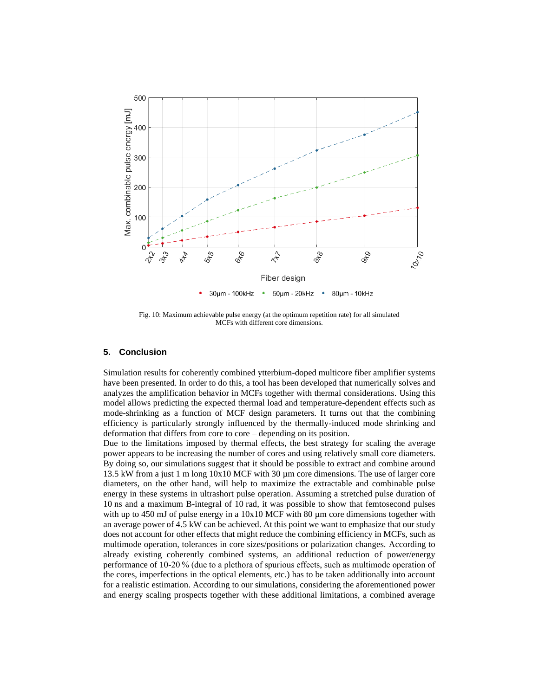

30µm - 100kHz - + - 50µm - 20kHz - + -80µm - 10kHz

<span id="page-11-0"></span>Fig. 10: Maximum achievable pulse energy (at the optimum repetition rate) for all simulated MCFs with different core dimensions.

## **5. Conclusion**

Simulation results for coherently combined ytterbium-doped multicore fiber amplifier systems have been presented. In order to do this, a tool has been developed that numerically solves and analyzes the amplification behavior in MCFs together with thermal considerations. Using this model allows predicting the expected thermal load and temperature-dependent effects such as mode-shrinking as a function of MCF design parameters. It turns out that the combining efficiency is particularly strongly influenced by the thermally-induced mode shrinking and deformation that differs from core to core – depending on its position.

Due to the limitations imposed by thermal effects, the best strategy for scaling the average power appears to be increasing the number of cores and using relatively small core diameters. By doing so, our simulations suggest that it should be possible to extract and combine around 13.5 kW from a just 1 m long 10x10 MCF with 30 µm core dimensions. The use of larger core diameters, on the other hand, will help to maximize the extractable and combinable pulse energy in these systems in ultrashort pulse operation. Assuming a stretched pulse duration of 10 ns and a maximum B-integral of 10 rad, it was possible to show that femtosecond pulses with up to 450 mJ of pulse energy in a  $10x10$  MCF with 80  $\mu$ m core dimensions together with an average power of 4.5 kW can be achieved. At this point we want to emphasize that our study does not account for other effects that might reduce the combining efficiency in MCFs, such as multimode operation, tolerances in core sizes/positions or polarization changes. According to already existing coherently combined systems, an additional reduction of power/energy performance of 10-20 % (due to a plethora of spurious effects, such as multimode operation of the cores, imperfections in the optical elements, etc.) has to be taken additionally into account for a realistic estimation. According to our simulations, considering the aforementioned power and energy scaling prospects together with these additional limitations, a combined average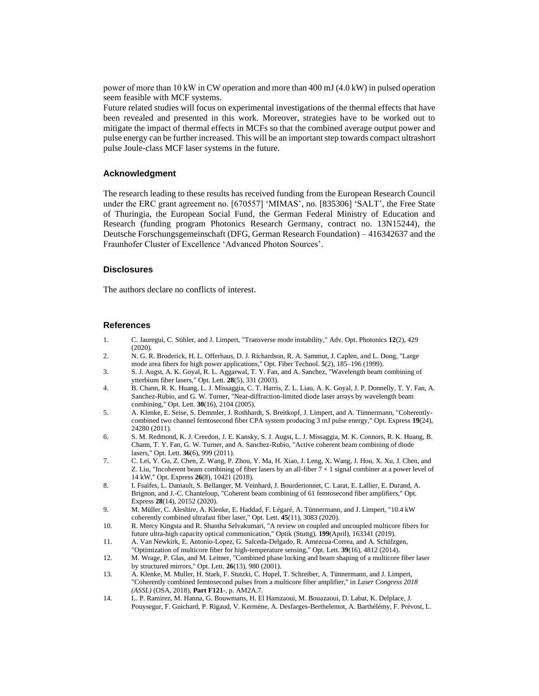power of more than 10 kW in CW operation and more than 400 mJ (4.0 kW) in pulsed operation seem feasible with MCF systems.

Future related studies will focus on experimental investigations of the thermal effects that have been revealed and presented in this work. Moreover, strategies have to be worked out to mitigate the impact of thermal effects in MCFs so that the combined average output power and pulse energy can be further increased. This will be an important step towards compact ultrashort pulse Joule-class MCF laser systems in the future.

# **Acknowledgment**

The research leading to these results has received funding from the European Research Council under the ERC grant agreement no. [670557] 'MIMAS', no. [835306] 'SALT', the Free State of Thuringia, the European Social Fund, the German Federal Ministry of Education and Research (funding program Photonics Research Germany, contract no. 13N15244), the Deutsche Forschungsgemeinschaft (DFG, German Research Foundation) – 416342637 and the Fraunhofer Cluster of Excellence 'Advanced Photon Sources'.

## **Disclosures**

The authors declare no conflicts of interest.

## **References**

- 1. C. Jauregui, C. Stihler, and J. Limpert, "Transverse mode instability," Adv. Opt. Photonics **12**(2), 429 (2020).
- 2. N. G. R. Broderick, H. L. Offerhaus, D. J. Richardson, R. A. Sammut, J. Caplen, and L. Dong, "Large mode area fibers for high power applications," Opt. Fiber Technol. **5**(2), 185–196 (1999).
- 3. S. J. Augst, A. K. Goyal, R. L. Aggarwal, T. Y. Fan, and A. Sanchez, "Wavelength beam combining of ytterbium fiber lasers," Opt. Lett. **28**(5), 331 (2003).
- 4. B. Chann, R. K. Huang, L. J. Missaggia, C. T. Harris, Z. L. Liau, A. K. Goyal, J. P. Donnelly, T. Y. Fan, A. Sanchez-Rubio, and G. W. Turner, "Near-diffraction-limited diode laser arrays by wavelength beam combining," Opt. Lett. **30**(16), 2104 (2005).
- 5. A. Klenke, E. Seise, S. Demmler, J. Rothhardt, S. Breitkopf, J. Limpert, and A. Tünnermann, "Coherentlycombined two channel femtosecond fiber CPA system producing 3 mJ pulse energy," Opt. Express **19**(24), 24280 (2011).
- 6. S. M. Redmond, K. J. Creedon, J. E. Kansky, S. J. Augst, L. J. Missaggia, M. K. Connors, R. K. Huang, B. Chann, T. Y. Fan, G. W. Turner, and A. Sanchez-Rubio, "Active coherent beam combining of diode lasers," Opt. Lett. **36**(6), 999 (2011).
- 7. C. Lei, Y. Gu, Z. Chen, Z. Wang, P. Zhou, Y. Ma, H. Xiao, J. Leng, X. Wang, J. Hou, X. Xu, J. Chen, and Z. Liu, "Incoherent beam combining of fiber lasers by an all-fiber  $7 \times 1$  signal combiner at a power level of 14 kW," Opt. Express **26**(8), 10421 (2018).
- 8. I. Fsaifes, L. Daniault, S. Bellanger, M. Veinhard, J. Bourderionnet, C. Larat, E. Lallier, E. Durand, A. Brignon, and J.-C. Chanteloup, "Coherent beam combining of 61 femtosecond fiber amplifiers," Opt. Express **28**(14), 20152 (2020).
- 9. M. Müller, C. Aleshire, A. Klenke, E. Haddad, F. Légaré, A. Tünnermann, and J. Limpert, "10.4 kW coherently combined ultrafast fiber laser," Opt. Lett. **45**(11), 3083 (2020).
- 10. R. Mercy Kingsta and R. Shantha Selvakumari, "A review on coupled and uncoupled multicore fibers for future ultra-high capacity optical communication," Optik (Stuttg). **199**(April), 163341 (2019).
- 11. A. Van Newkirk, E. Antonio-Lopez, G. Salceda-Delgado, R. Amezcua-Correa, and A. Schülzgen, "Optimization of multicore fiber for high-temperature sensing," Opt. Lett. **39**(16), 4812 (2014).
- 12. M. Wrage, P. Glas, and M. Leitner, "Combined phase locking and beam shaping of a multicore fiber laser by structured mirrors," Opt. Lett. **26**(13), 980 (2001).
- 13. A. Klenke, M. Muller, H. Stark, F. Stutzki, C. Hupel, T. Schreiber, A. Tünnermann, and J. Limpert, "Coherently combined femtosecond pulses from a multicore fiber amplifier," in *Laser Congress 2018 (ASSL)* (OSA, 2018), **Part F121**-, p. AM2A.7.
- 14. L. P. Ramirez, M. Hanna, G. Bouwmans, H. El Hamzaoui, M. Bouazaoui, D. Labat, K. Delplace, J. Pouysegur, F. Guichard, P. Rigaud, V. Kermène, A. Desfarges-Berthelemot, A. Barthélémy, F. Prévost, L.